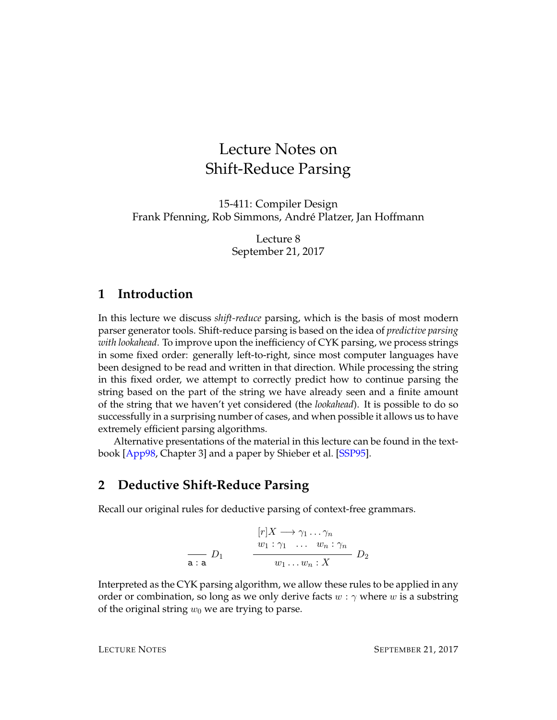# Lecture Notes on Shift-Reduce Parsing

15-411: Compiler Design Frank Pfenning, Rob Simmons, Andre Platzer, Jan Hoffmann ´

> Lecture 8 September 21, 2017

#### **1 Introduction**

In this lecture we discuss *shift-reduce* parsing, which is the basis of most modern parser generator tools. Shift-reduce parsing is based on the idea of *predictive parsing with lookahead*. To improve upon the inefficiency of CYK parsing, we process strings in some fixed order: generally left-to-right, since most computer languages have been designed to be read and written in that direction. While processing the string in this fixed order, we attempt to correctly predict how to continue parsing the string based on the part of the string we have already seen and a finite amount of the string that we haven't yet considered (the *lookahead*). It is possible to do so successfully in a surprising number of cases, and when possible it allows us to have extremely efficient parsing algorithms.

Alternative presentations of the material in this lecture can be found in the textbook [\[App98,](#page-9-0) Chapter 3] and a paper by Shieber et al. [\[SSP95\]](#page-9-1).

#### **2 Deductive Shift-Reduce Parsing**

Recall our original rules for deductive parsing of context-free grammars.

$$
\frac{[r]X \longrightarrow \gamma_1 \dots \gamma_n}{w_1 : \gamma_1 \dots w_n : \gamma_n}
$$
\n
$$
\overline{a : a} \quad D_1 \quad \frac{w_1 \dots w_n : \gamma_n}{w_1 \dots w_n : X} \quad D_2
$$

Interpreted as the CYK parsing algorithm, we allow these rules to be applied in any order or combination, so long as we only derive facts  $w : \gamma$  where w is a substring of the original string  $w_0$  we are trying to parse.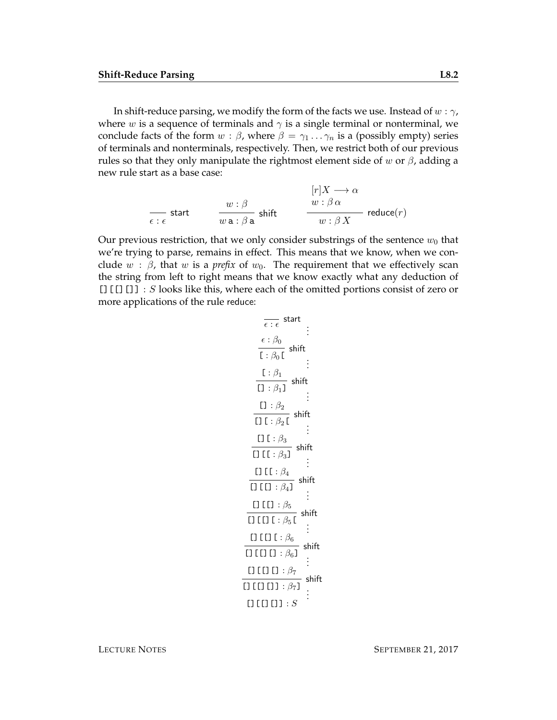In shift-reduce parsing, we modify the form of the facts we use. Instead of  $w : \gamma$ , where w is a sequence of terminals and  $\gamma$  is a single terminal or nonterminal, we conclude facts of the form  $w : \beta$ , where  $\beta = \gamma_1 \dots \gamma_n$  is a (possibly empty) series of terminals and nonterminals, respectively. Then, we restrict both of our previous rules so that they only manipulate the rightmost element side of w or  $\beta$ , adding a new rule start as a base case:

$$
\frac{[r]X \to \alpha}{\epsilon : \epsilon} \quad \text{start} \quad \frac{w : \beta}{w : \beta a} \text{shift} \quad \frac{w : \beta \alpha}{w : \beta X} \quad \text{reduce}(r)
$$

Our previous restriction, that we only consider substrings of the sentence  $w_0$  that we're trying to parse, remains in effect. This means that we know, when we conclude  $w : \beta$ , that w is a *prefix* of  $w_0$ . The requirement that we effectively scan the string from left to right means that we know exactly what any deduction of  $[[] [[]] : S$  looks like this, where each of the omitted portions consist of zero or more applications of the rule reduce:

$$
\frac{\overline{\epsilon} : \overline{\epsilon} \text{ start}}{\overline{\epsilon} : \beta_0 \overline{\epsilon}} \text{ shift}
$$
\n
$$
\frac{\epsilon : \beta_0}{\overline{\epsilon} : \beta_1 \overline{\epsilon}} \text{ shift}
$$
\n
$$
\frac{\overline{\epsilon} : \beta_1}{\overline{\epsilon} : \beta_1 \overline{\epsilon} : \beta_2 \overline{\epsilon}} \text{ shift}
$$
\n
$$
\frac{\overline{\epsilon} : \beta_2}{\overline{\epsilon} : \beta_2 \overline{\epsilon}} \text{ shift}
$$
\n
$$
\frac{\overline{\epsilon} : \overline{\epsilon} : \beta_3}{\overline{\epsilon} : \overline{\epsilon} : \beta_4 \overline{\epsilon} : \beta_5 \overline{\epsilon} : \overline{\epsilon} : \overline{\epsilon} : \overline{\epsilon} : \overline{\epsilon} : \overline{\epsilon} : \overline{\epsilon} : \overline{\epsilon} : \overline{\epsilon} : \overline{\epsilon} : \overline{\epsilon} : \overline{\epsilon} : \overline{\epsilon} : \overline{\epsilon} : \overline{\epsilon} : \overline{\epsilon} : \overline{\epsilon} : \overline{\epsilon} : \overline{\epsilon} : \overline{\epsilon} : \overline{\epsilon} : \overline{\epsilon} : \overline{\epsilon} : \overline{\epsilon} : \overline{\epsilon} : \overline{\epsilon} : \overline{\epsilon} : \overline{\epsilon} : \overline{\epsilon} : \overline{\epsilon} : \overline{\epsilon} : \overline{\epsilon} : \overline{\epsilon} : \overline{\epsilon} : \overline{\epsilon} : \overline{\epsilon} : \overline{\epsilon} : \overline{\epsilon} : \overline{\epsilon} : \overline{\epsilon} : \overline{\epsilon} : \overline{\epsilon} : \overline{\epsilon} : \overline{\epsilon} : \overline{\epsilon} : \overline{\epsilon} : \overline{\epsilon} : \overline{\epsilon} : \overline{\epsilon} : \overline{\epsilon} : \overline{\epsilon} : \overline{\epsilon} : \overline{\epsilon} : \overline{\epsilon} : \overline{\epsilon} : \overline{\epsilon} : \overline{\epsilon} : \overline{\epsilon} : \overline{\epsilon} : \overline{\epsilon} : \overline{\epsilon} : \overline{\epsilon} : \overline{\epsilon} : \overline{\epsilon} : \overline{\epsilon} : \overline{\epsilon} : \overline{\epsilon} : \overline{\epsilon} : \overline{\epsilon} : \overline{\epsilon} : \overline{\epsilon} : \overline{\epsilon} : \overline{\epsilon} : \overline{\epsilon} : \overline
$$

LECTURE NOTES SEPTEMBER 21, 2017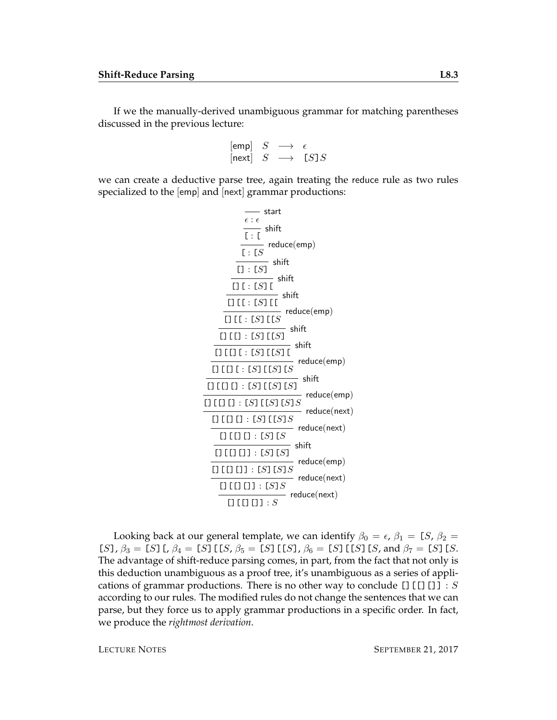If we the manually-derived unambiguous grammar for matching parentheses discussed in the previous lecture:

$$
\begin{array}{ccc}\n[\mathsf{emp}] & S & \longrightarrow & \epsilon \\
[\mathsf{next}] & S & \longrightarrow & [S]S\n\end{array}
$$

we can create a deductive parse tree, again treating the reduce rule as two rules specialized to the [emp] and [next] grammar productions:

 : start [ : [ shift [ : [S reduce(emp) [] : [S] shift [][ : [S][ shift [][[ : [S][[ shift [][[ : [S][[S reduce(emp) [][[] : [S][[S] shift [][[][ : [S][[S][ shift [][[][ : [S][[S][S reduce(emp) [][[][] : [S][[S][S] shift [][[][] : [S][[S][S]S reduce(emp) [][[][] : [S][[S]S reduce(next) [][[][] : [S][S reduce(next) [][[][]] : [S][S] shift [][[][]] : [S][S]S reduce(emp) [][[][]] : [S]S reduce(next) [][[][]] : S reduce(next)

Looking back at our general template, we can identify  $\beta_0 = \epsilon$ ,  $\beta_1 = [S, \beta_2 =$ [S],  $\beta_3 =$  [S] [,  $\beta_4 =$  [S] [[S,  $\beta_5 =$  [S] [[S],  $\beta_6 =$  [S] [[S] [S, and  $\beta_7 =$  [S] [S. The advantage of shift-reduce parsing comes, in part, from the fact that not only is this deduction unambiguous as a proof tree, it's unambiguous as a series of applications of grammar productions. There is no other way to conclude  $[]$  [[][]] : S according to our rules. The modified rules do not change the sentences that we can parse, but they force us to apply grammar productions in a specific order. In fact, we produce the *rightmost derivation*.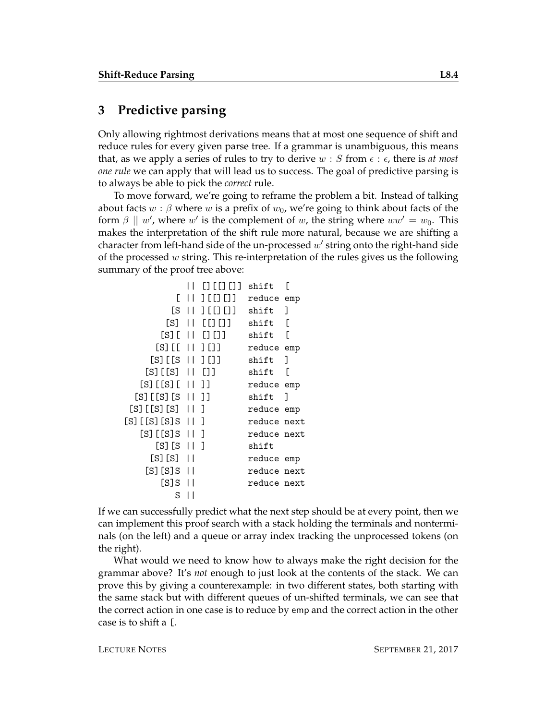## **3 Predictive parsing**

Only allowing rightmost derivations means that at most one sequence of shift and reduce rules for every given parse tree. If a grammar is unambiguous, this means that, as we apply a series of rules to try to derive  $w : S$  from  $\epsilon : \epsilon$ , there is *at most one rule* we can apply that will lead us to success. The goal of predictive parsing is to always be able to pick the *correct* rule.

To move forward, we're going to reframe the problem a bit. Instead of talking about facts w :  $\beta$  where w is a prefix of w<sub>0</sub>, we're going to think about facts of the form  $\beta \parallel w'$ , where w' is the complement of w, the string where  $ww' = w_0$ . This makes the interpretation of the shift rule more natural, because we are shifting a character from left-hand side of the un-processed  $w'$  string onto the right-hand side of the processed  $w$  string. This re-interpretation of the rules gives us the following summary of the proof tree above:

|              | ,,,,,,                                                                                               | shift       |      |
|--------------|------------------------------------------------------------------------------------------------------|-------------|------|
|              | ,,,,,,,,                                                                                             | reduce      | emp  |
| H            | 111111                                                                                               | shift       | ٦    |
| Н            |                                                                                                      | shift       | Г    |
| П            | [1] [1]                                                                                              | shift       | Г    |
| Н            | 1111                                                                                                 | reduce emp  |      |
| П            | $\perp$                                                                                              | shift       | ٦    |
| Ħ            | Ħ                                                                                                    | shift       | Г    |
| Н            | $\perp$                                                                                              | reduce emp  |      |
| Н            | 11                                                                                                   | shift       | ı    |
| Н            | ı                                                                                                    | reduce      | emp  |
| Н            | ı                                                                                                    | reduce      | next |
| $\mathsf{L}$ | ı                                                                                                    | reduce next |      |
| Н            | ı                                                                                                    | shift       |      |
| H            |                                                                                                      | reduce emp  |      |
| Н            |                                                                                                      | reduce      | next |
|              |                                                                                                      | reduce next |      |
|              |                                                                                                      |             |      |
|              | [S] [ [S<br>[S] [ [S]<br>[S] [ [S] [S<br>[S] [ [S] [S]<br>[S] [ [S] S<br>[S] [S<br>[S] [S] _<br>[S]S |             |      |

If we can successfully predict what the next step should be at every point, then we can implement this proof search with a stack holding the terminals and nonterminals (on the left) and a queue or array index tracking the unprocessed tokens (on the right).

What would we need to know how to always make the right decision for the grammar above? It's *not* enough to just look at the contents of the stack. We can prove this by giving a counterexample: in two different states, both starting with the same stack but with different queues of un-shifted terminals, we can see that the correct action in one case is to reduce by emp and the correct action in the other case is to shift a [.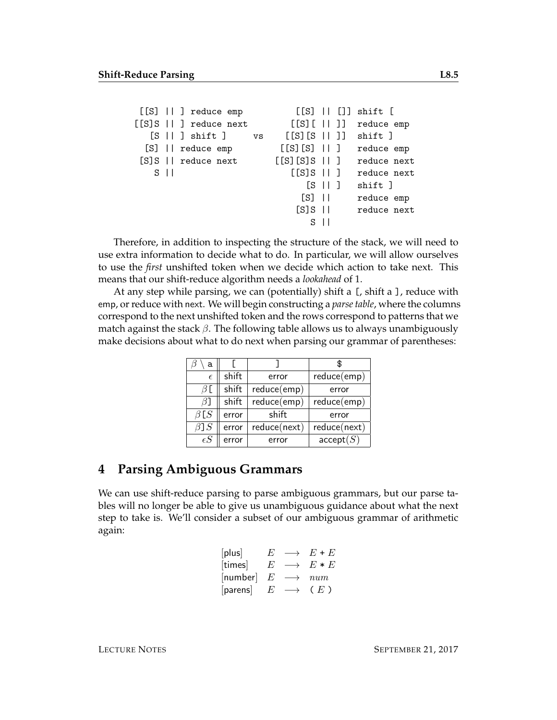|     | $[5]$ $  $ $]$ reduce emp  |    |                      |                                                         | $[$ [S] $ $ $ $ $ $ ] shift $[$ |
|-----|----------------------------|----|----------------------|---------------------------------------------------------|---------------------------------|
|     | $[$ [S]S $ $ ] reduce next |    | [ [S] [ ] [ ] ]      |                                                         | reduce emp                      |
|     | $[S \mid \mid]$ shift $]$  | VS | [ [S] [S]   ]        |                                                         | shift ]                         |
|     | [S]    reduce emp          |    | [[S][S]    ]         |                                                         | reduce emp                      |
|     | $[S]S$     reduce next     |    | [[S][S]S]]           |                                                         | reduce next                     |
| $S$ |                            |    | $[$ [S]S $ $ $ $ $]$ |                                                         | reduce next                     |
|     |                            |    |                      | $\begin{bmatrix} S & \vert \vert & \vert \end{bmatrix}$ | shift ]                         |
|     |                            |    | $[S]$ $  \cdot  $    |                                                         | reduce emp                      |
|     |                            |    | $[S]S$ $  $          |                                                         | reduce next                     |
|     |                            |    |                      | S II                                                    |                                 |

Therefore, in addition to inspecting the structure of the stack, we will need to use extra information to decide what to do. In particular, we will allow ourselves to use the *first* unshifted token when we decide which action to take next. This means that our shift-reduce algorithm needs a *lookahead* of 1.

At any step while parsing, we can (potentially) shift a [, shift a ], reduce with emp, or reduce with next. We will begin constructing a *parse table*, where the columns correspond to the next unshifted token and the rows correspond to patterns that we match against the stack  $\beta$ . The following table allows us to always unambiguously make decisions about what to do next when parsing our grammar of parentheses:

| a             |       |             |              |
|---------------|-------|-------------|--------------|
| $\epsilon$    | shift | error       | reduce(emp)  |
| 6 L           | shift | reduce(emp) | error        |
| ВI            | shift | reduce(emp) | reduce(emp)  |
| $\beta$ [ $S$ | error | shift       | error        |
| $\beta$ ] $S$ | error | reduce(new) | reduce(next) |
| $\epsilon S$  | error | error       | accept(S)    |

## **4 Parsing Ambiguous Grammars**

We can use shift-reduce parsing to parse ambiguous grammars, but our parse tables will no longer be able to give us unambiguous guidance about what the next step to take is. We'll consider a subset of our ambiguous grammar of arithmetic again:

| [plus]   | F |                   | $E + E$ |
|----------|---|-------------------|---------|
| [times]  | E | $\longrightarrow$ | $E*E$   |
| [number] | E |                   | num     |
| [parens] | E | $\longrightarrow$ | (E)     |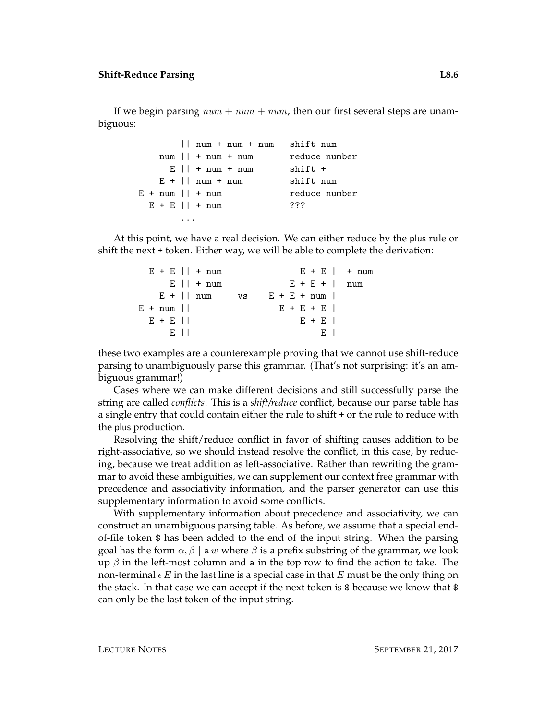If we begin parsing  $num + num + num$ , then our first several steps are unambiguous:

|                  |                          | num + num + num shift num |               |
|------------------|--------------------------|---------------------------|---------------|
|                  | $num \mid   + num + num$ |                           | reduce number |
|                  | $E$    + num + num       |                           | $shift +$     |
|                  | $E + \vert$ num + num    |                           | shift num     |
| E + num    + num |                          |                           | reduce number |
|                  | $E + E$ $   + num$       |                           | ???           |
|                  |                          |                           |               |

At this point, we have a real decision. We can either reduce by the plus rule or shift the next + token. Either way, we will be able to complete the derivation:

|  |  |         | $E + E$ $   + num$ |    |               |             |  |            | $E + E$     + num |
|--|--|---------|--------------------|----|---------------|-------------|--|------------|-------------------|
|  |  |         | $E$    + num       |    |               |             |  |            | $E + E +   num$   |
|  |  |         | $E +  $ num        | vs | $E + E + num$ |             |  |            |                   |
|  |  | E + num |                    |    |               | $E + E + E$ |  |            |                   |
|  |  | $E + E$ |                    |    |               |             |  | $E + E$ 11 |                   |
|  |  | E 11    |                    |    |               |             |  | E 11       |                   |

these two examples are a counterexample proving that we cannot use shift-reduce parsing to unambiguously parse this grammar. (That's not surprising: it's an ambiguous grammar!)

Cases where we can make different decisions and still successfully parse the string are called *conflicts*. This is a *shift/reduce* conflict, because our parse table has a single entry that could contain either the rule to shift + or the rule to reduce with the plus production.

Resolving the shift/reduce conflict in favor of shifting causes addition to be right-associative, so we should instead resolve the conflict, in this case, by reducing, because we treat addition as left-associative. Rather than rewriting the grammar to avoid these ambiguities, we can supplement our context free grammar with precedence and associativity information, and the parser generator can use this supplementary information to avoid some conflicts.

With supplementary information about precedence and associativity, we can construct an unambiguous parsing table. As before, we assume that a special endof-file token \$ has been added to the end of the input string. When the parsing goal has the form  $\alpha, \beta \mid \alpha w$  where  $\beta$  is a prefix substring of the grammar, we look up  $\beta$  in the left-most column and a in the top row to find the action to take. The non-terminal  $\epsilon E$  in the last line is a special case in that E must be the only thing on the stack. In that case we can accept if the next token is \$ because we know that \$ can only be the last token of the input string.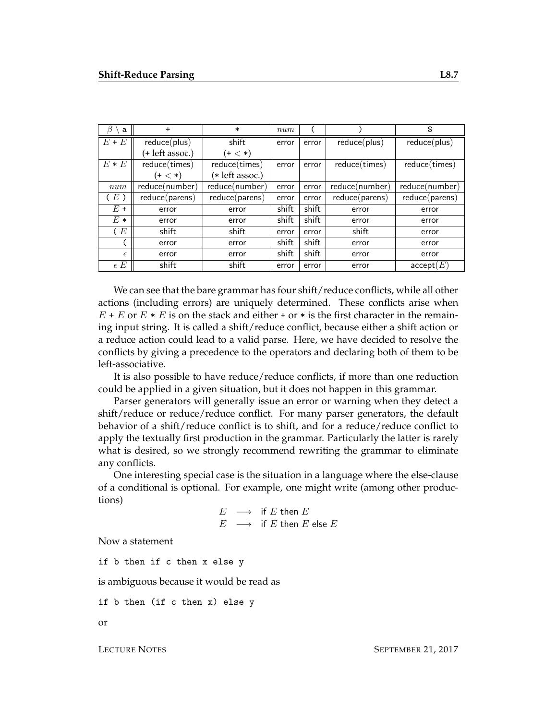| a            | $\ddot{}$       | $\ast$          | num   |       |                | \$             |
|--------------|-----------------|-----------------|-------|-------|----------------|----------------|
| $E + E$      | reduce(plus)    | shift           | error | error | reduce(plus)   | reduce(plus)   |
|              | (+ left assoc.) | $(+ < * )$      |       |       |                |                |
| $E * E$      | reduce(times)   | reduce(time)    | error | error | reduce(times)  | reduce(times)  |
|              | $(+ < * )$      | (* left assoc.) |       |       |                |                |
| num          | reduce(number)  | reduce(number)  | error | error | reduce(number) | reduce(number) |
| (E)          | reduce(parens)  | reduce(parens)  | error | error | reduce(parens) | reduce(parens) |
| $E+$         | error           | error           | shift | shift | error          | error          |
| $E*$         | error           | error           | shift | shift | error          | error          |
| ( E          | shift           | shift           | error | error | shift          | error          |
|              | error           | error           | shift | shift | error          | error          |
| $\epsilon$   | error           | error           | shift | shift | error          | error          |
| $\epsilon E$ | shift           | shift           | error | error | error          | accept(E)      |

We can see that the bare grammar has four shift/reduce conflicts, while all other actions (including errors) are uniquely determined. These conflicts arise when  $E + E$  or  $E * E$  is on the stack and either + or  $*$  is the first character in the remaining input string. It is called a shift/reduce conflict, because either a shift action or a reduce action could lead to a valid parse. Here, we have decided to resolve the conflicts by giving a precedence to the operators and declaring both of them to be left-associative.

It is also possible to have reduce/reduce conflicts, if more than one reduction could be applied in a given situation, but it does not happen in this grammar.

Parser generators will generally issue an error or warning when they detect a shift/reduce or reduce/reduce conflict. For many parser generators, the default behavior of a shift/reduce conflict is to shift, and for a reduce/reduce conflict to apply the textually first production in the grammar. Particularly the latter is rarely what is desired, so we strongly recommend rewriting the grammar to eliminate any conflicts.

One interesting special case is the situation in a language where the else-clause of a conditional is optional. For example, one might write (among other productions)

$$
\begin{array}{ccc}\nE & \longrightarrow & \text{if } E \text{ then } E \\
E & \longrightarrow & \text{if } E \text{ then } E \text{ else } E\n\end{array}
$$

Now a statement

if b then if c then x else y

is ambiguous because it would be read as

if b then (if c then x) else y

or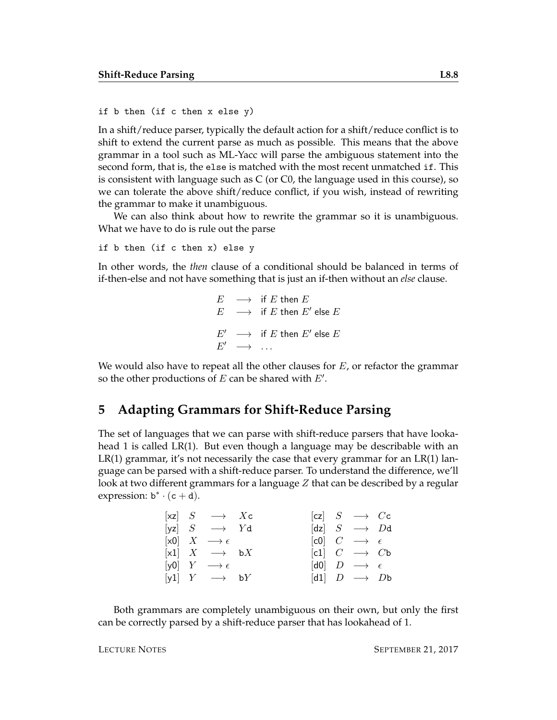```
if b then (if c then x else y)
```
In a shift/reduce parser, typically the default action for a shift/reduce conflict is to shift to extend the current parse as much as possible. This means that the above grammar in a tool such as ML-Yacc will parse the ambiguous statement into the second form, that is, the else is matched with the most recent unmatched if. This is consistent with language such as C (or C0, the language used in this course), so we can tolerate the above shift/reduce conflict, if you wish, instead of rewriting the grammar to make it unambiguous.

We can also think about how to rewrite the grammar so it is unambiguous. What we have to do is rule out the parse

```
if b then (if c then x) else y
```
In other words, the *then* clause of a conditional should be balanced in terms of if-then-else and not have something that is just an if-then without an *else* clause.

```
E \longrightarrow if E then E
E \longrightarrow if E then E' else EE' \longrightarrow if E then E' else EE' \longrightarrow \dots
```
We would also have to repeat all the other clauses for  $E$ , or refactor the grammar so the other productions of  $E$  can be shared with  $E'$ .

#### **5 Adapting Grammars for Shift-Reduce Parsing**

The set of languages that we can parse with shift-reduce parsers that have lookahead 1 is called LR(1). But even though a language may be describable with an  $LR(1)$  grammar, it's not necessarily the case that every grammar for an  $LR(1)$  language can be parsed with a shift-reduce parser. To understand the difference, we'll look at two different grammars for a language  $Z$  that can be described by a regular expression:  $b^* \cdot (c + d)$ .

|  | $\begin{array}{cccc} \n\begin{bmatrix} xz \end{bmatrix} & S & \longrightarrow & Xc\n\end{array}$ |  |  | $ cz  \quad S \quad \longrightarrow \quad Cc$                                   |  |
|--|--------------------------------------------------------------------------------------------------|--|--|---------------------------------------------------------------------------------|--|
|  | [yz] $S \longrightarrow Yd$                                                                      |  |  | $\begin{bmatrix} dz & S & \longrightarrow & Dd \end{bmatrix}$                   |  |
|  | $[\times 0]$ $X \longrightarrow \epsilon$                                                        |  |  | $\begin{bmatrix} \mathsf{c0} & C & \longrightarrow & \epsilon \end{bmatrix}$    |  |
|  | $\begin{array}{ c c c c c }\n\hline\n\text{x1} & X & \longrightarrow & \text{b}X\n\end{array}$   |  |  | $\begin{bmatrix} c1 & C & \longrightarrow & Cb \end{bmatrix}$                   |  |
|  | [y0] $Y \longrightarrow \epsilon$                                                                |  |  | $\begin{bmatrix} \mathsf{d}0 \end{bmatrix}$ $D \longrightarrow \epsilon$        |  |
|  | $[y1]$ $Y \rightarrow bY$                                                                        |  |  | $\begin{bmatrix} \textsf{d}1 & D & \longrightarrow & D\textsf{b} \end{bmatrix}$ |  |

Both grammars are completely unambiguous on their own, but only the first can be correctly parsed by a shift-reduce parser that has lookahead of 1.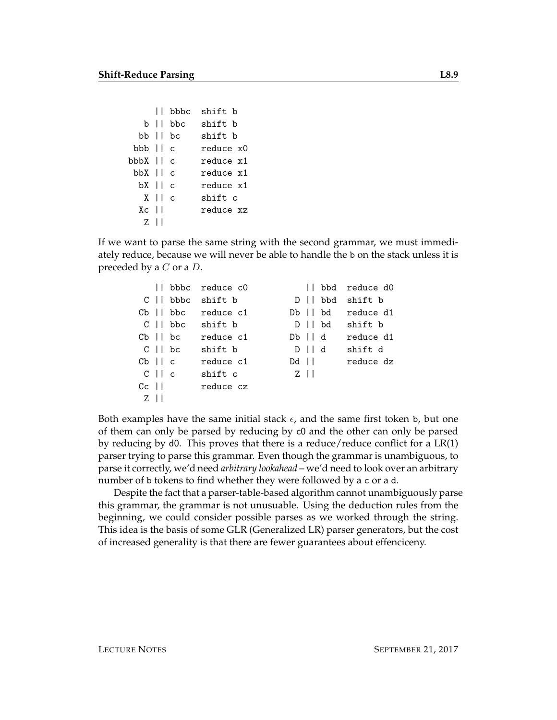```
|| bbbc shift b
  b || bbc shift b
 bb || bc shift b
bbb || c reduce x0
bbbX || c reduce x1
bbX || c reduce x1
 bX | c reduce x1
  X || c shift c
 Xc || reduce xz
  Z \mid \cdot \mid
```
If we want to parse the same string with the second grammar, we must immediately reduce, because we will never be able to handle the b on the stack unless it is preceded by a  $C$  or a  $D$ .

|            |              | Il bbbc reduce c0   |           |                      |             | bbd reduce d0     |
|------------|--------------|---------------------|-----------|----------------------|-------------|-------------------|
|            |              | C    bbbc shift b   |           |                      |             | D    bbd shift b  |
|            |              | Cb II bbc reduce c1 |           |                      |             | Db   bd reduce d1 |
|            |              | C II bbc shift b    |           |                      |             | D   bd shift b    |
|            | $Cb$    $bc$ | reduce c1           |           |                      | $Db \mid d$ | reduce d1         |
| CII bc     |              | shift b             |           |                      | $D \mid d$  | shift d           |
| $Cb$ $  c$ |              | reduce c1           | $Dd$ $  $ |                      |             | reduce dz         |
| CII c      |              | shift c             |           | $Z \mid \; \; \; \;$ |             |                   |
|            |              | reduce cz           |           |                      |             |                   |
| - Z II     |              |                     |           |                      |             |                   |

Both examples have the same initial stack  $\epsilon$ , and the same first token b, but one of them can only be parsed by reducing by c0 and the other can only be parsed by reducing by d0. This proves that there is a reduce/reduce conflict for a  $LR(1)$ parser trying to parse this grammar. Even though the grammar is unambiguous, to parse it correctly, we'd need *arbitrary lookahead* – we'd need to look over an arbitrary number of b tokens to find whether they were followed by a c or a d.

Despite the fact that a parser-table-based algorithm cannot unambiguously parse this grammar, the grammar is not unusuable. Using the deduction rules from the beginning, we could consider possible parses as we worked through the string. This idea is the basis of some GLR (Generalized LR) parser generators, but the cost of increased generality is that there are fewer guarantees about effenciceny.